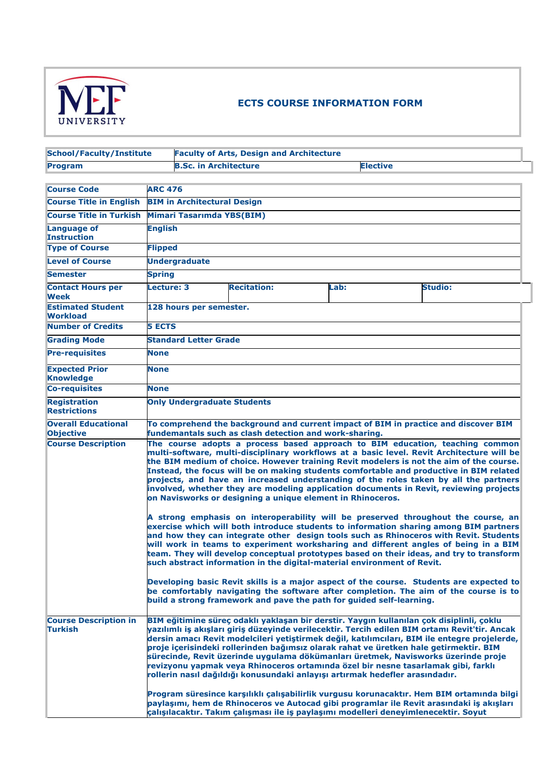

## **ECTS COURSE INFORMATION FORM**

| <b>School/Faculty/Institute</b>                |                                                                                                                                                                                                                                                                                                                                                                                                                                                                                                                                                                                                                                                                                                                                                                                                                                                                                                                                                                                                                                                                                                                                                                                                                                                                                                                                                                                                                                                                           |                                                 | <b>Faculty of Arts, Design and Architecture</b>                              |      |                                                                                                                                                                                                                                                                                                                                                                                                                                                                                                                                                                                                                                                                                                                                                                                                                                              |  |  |
|------------------------------------------------|---------------------------------------------------------------------------------------------------------------------------------------------------------------------------------------------------------------------------------------------------------------------------------------------------------------------------------------------------------------------------------------------------------------------------------------------------------------------------------------------------------------------------------------------------------------------------------------------------------------------------------------------------------------------------------------------------------------------------------------------------------------------------------------------------------------------------------------------------------------------------------------------------------------------------------------------------------------------------------------------------------------------------------------------------------------------------------------------------------------------------------------------------------------------------------------------------------------------------------------------------------------------------------------------------------------------------------------------------------------------------------------------------------------------------------------------------------------------------|-------------------------------------------------|------------------------------------------------------------------------------|------|----------------------------------------------------------------------------------------------------------------------------------------------------------------------------------------------------------------------------------------------------------------------------------------------------------------------------------------------------------------------------------------------------------------------------------------------------------------------------------------------------------------------------------------------------------------------------------------------------------------------------------------------------------------------------------------------------------------------------------------------------------------------------------------------------------------------------------------------|--|--|
| Program                                        |                                                                                                                                                                                                                                                                                                                                                                                                                                                                                                                                                                                                                                                                                                                                                                                                                                                                                                                                                                                                                                                                                                                                                                                                                                                                                                                                                                                                                                                                           | <b>B.Sc. in Architecture</b><br><b>Elective</b> |                                                                              |      |                                                                                                                                                                                                                                                                                                                                                                                                                                                                                                                                                                                                                                                                                                                                                                                                                                              |  |  |
|                                                |                                                                                                                                                                                                                                                                                                                                                                                                                                                                                                                                                                                                                                                                                                                                                                                                                                                                                                                                                                                                                                                                                                                                                                                                                                                                                                                                                                                                                                                                           |                                                 |                                                                              |      |                                                                                                                                                                                                                                                                                                                                                                                                                                                                                                                                                                                                                                                                                                                                                                                                                                              |  |  |
| <b>Course Code</b>                             | <b>ARC 476</b>                                                                                                                                                                                                                                                                                                                                                                                                                                                                                                                                                                                                                                                                                                                                                                                                                                                                                                                                                                                                                                                                                                                                                                                                                                                                                                                                                                                                                                                            |                                                 |                                                                              |      |                                                                                                                                                                                                                                                                                                                                                                                                                                                                                                                                                                                                                                                                                                                                                                                                                                              |  |  |
| <b>Course Title in English</b>                 |                                                                                                                                                                                                                                                                                                                                                                                                                                                                                                                                                                                                                                                                                                                                                                                                                                                                                                                                                                                                                                                                                                                                                                                                                                                                                                                                                                                                                                                                           | <b>BIM in Architectural Design</b>              |                                                                              |      |                                                                                                                                                                                                                                                                                                                                                                                                                                                                                                                                                                                                                                                                                                                                                                                                                                              |  |  |
| <b>Course Title in Turkish</b>                 |                                                                                                                                                                                                                                                                                                                                                                                                                                                                                                                                                                                                                                                                                                                                                                                                                                                                                                                                                                                                                                                                                                                                                                                                                                                                                                                                                                                                                                                                           | Mimari Tasarımda YBS(BIM)                       |                                                                              |      |                                                                                                                                                                                                                                                                                                                                                                                                                                                                                                                                                                                                                                                                                                                                                                                                                                              |  |  |
| Language of<br><b>Instruction</b>              |                                                                                                                                                                                                                                                                                                                                                                                                                                                                                                                                                                                                                                                                                                                                                                                                                                                                                                                                                                                                                                                                                                                                                                                                                                                                                                                                                                                                                                                                           | <b>English</b>                                  |                                                                              |      |                                                                                                                                                                                                                                                                                                                                                                                                                                                                                                                                                                                                                                                                                                                                                                                                                                              |  |  |
| <b>Type of Course</b>                          |                                                                                                                                                                                                                                                                                                                                                                                                                                                                                                                                                                                                                                                                                                                                                                                                                                                                                                                                                                                                                                                                                                                                                                                                                                                                                                                                                                                                                                                                           | <b>Flipped</b>                                  |                                                                              |      |                                                                                                                                                                                                                                                                                                                                                                                                                                                                                                                                                                                                                                                                                                                                                                                                                                              |  |  |
| <b>Level of Course</b>                         |                                                                                                                                                                                                                                                                                                                                                                                                                                                                                                                                                                                                                                                                                                                                                                                                                                                                                                                                                                                                                                                                                                                                                                                                                                                                                                                                                                                                                                                                           | <b>Undergraduate</b>                            |                                                                              |      |                                                                                                                                                                                                                                                                                                                                                                                                                                                                                                                                                                                                                                                                                                                                                                                                                                              |  |  |
| <b>Semester</b>                                | <b>Spring</b>                                                                                                                                                                                                                                                                                                                                                                                                                                                                                                                                                                                                                                                                                                                                                                                                                                                                                                                                                                                                                                                                                                                                                                                                                                                                                                                                                                                                                                                             |                                                 |                                                                              |      |                                                                                                                                                                                                                                                                                                                                                                                                                                                                                                                                                                                                                                                                                                                                                                                                                                              |  |  |
| <b>Contact Hours per</b><br><b>Week</b>        | Lecture: 3                                                                                                                                                                                                                                                                                                                                                                                                                                                                                                                                                                                                                                                                                                                                                                                                                                                                                                                                                                                                                                                                                                                                                                                                                                                                                                                                                                                                                                                                |                                                 | <b>Recitation:</b>                                                           | Lab: | <b>Studio:</b>                                                                                                                                                                                                                                                                                                                                                                                                                                                                                                                                                                                                                                                                                                                                                                                                                               |  |  |
| <b>Estimated Student</b><br><b>Workload</b>    |                                                                                                                                                                                                                                                                                                                                                                                                                                                                                                                                                                                                                                                                                                                                                                                                                                                                                                                                                                                                                                                                                                                                                                                                                                                                                                                                                                                                                                                                           | 128 hours per semester.                         |                                                                              |      |                                                                                                                                                                                                                                                                                                                                                                                                                                                                                                                                                                                                                                                                                                                                                                                                                                              |  |  |
| <b>Number of Credits</b>                       | <b>5 ECTS</b>                                                                                                                                                                                                                                                                                                                                                                                                                                                                                                                                                                                                                                                                                                                                                                                                                                                                                                                                                                                                                                                                                                                                                                                                                                                                                                                                                                                                                                                             |                                                 |                                                                              |      |                                                                                                                                                                                                                                                                                                                                                                                                                                                                                                                                                                                                                                                                                                                                                                                                                                              |  |  |
| <b>Grading Mode</b>                            |                                                                                                                                                                                                                                                                                                                                                                                                                                                                                                                                                                                                                                                                                                                                                                                                                                                                                                                                                                                                                                                                                                                                                                                                                                                                                                                                                                                                                                                                           | <b>Standard Letter Grade</b>                    |                                                                              |      |                                                                                                                                                                                                                                                                                                                                                                                                                                                                                                                                                                                                                                                                                                                                                                                                                                              |  |  |
| <b>Pre-requisites</b>                          | <b>None</b>                                                                                                                                                                                                                                                                                                                                                                                                                                                                                                                                                                                                                                                                                                                                                                                                                                                                                                                                                                                                                                                                                                                                                                                                                                                                                                                                                                                                                                                               |                                                 |                                                                              |      |                                                                                                                                                                                                                                                                                                                                                                                                                                                                                                                                                                                                                                                                                                                                                                                                                                              |  |  |
| <b>Expected Prior</b><br><b>Knowledge</b>      | <b>None</b>                                                                                                                                                                                                                                                                                                                                                                                                                                                                                                                                                                                                                                                                                                                                                                                                                                                                                                                                                                                                                                                                                                                                                                                                                                                                                                                                                                                                                                                               |                                                 |                                                                              |      |                                                                                                                                                                                                                                                                                                                                                                                                                                                                                                                                                                                                                                                                                                                                                                                                                                              |  |  |
| <b>Co-requisites</b>                           | <b>None</b>                                                                                                                                                                                                                                                                                                                                                                                                                                                                                                                                                                                                                                                                                                                                                                                                                                                                                                                                                                                                                                                                                                                                                                                                                                                                                                                                                                                                                                                               |                                                 |                                                                              |      |                                                                                                                                                                                                                                                                                                                                                                                                                                                                                                                                                                                                                                                                                                                                                                                                                                              |  |  |
| <b>Registration</b><br><b>Restrictions</b>     |                                                                                                                                                                                                                                                                                                                                                                                                                                                                                                                                                                                                                                                                                                                                                                                                                                                                                                                                                                                                                                                                                                                                                                                                                                                                                                                                                                                                                                                                           | <b>Only Undergraduate Students</b>              |                                                                              |      |                                                                                                                                                                                                                                                                                                                                                                                                                                                                                                                                                                                                                                                                                                                                                                                                                                              |  |  |
| <b>Overall Educational</b><br><b>Objective</b> |                                                                                                                                                                                                                                                                                                                                                                                                                                                                                                                                                                                                                                                                                                                                                                                                                                                                                                                                                                                                                                                                                                                                                                                                                                                                                                                                                                                                                                                                           |                                                 |                                                                              |      | To comprehend the background and current impact of BIM in practice and discover BIM                                                                                                                                                                                                                                                                                                                                                                                                                                                                                                                                                                                                                                                                                                                                                          |  |  |
| <b>Course Description</b>                      | fundemantals such as clash detection and work-sharing.<br>The course adopts a process based approach to BIM education, teaching common<br>multi-software, multi-disciplinary workflows at a basic level. Revit Architecture will be<br>the BIM medium of choice. However training Revit modelers is not the aim of the course.<br>Instead, the focus will be on making students comfortable and productive in BIM related<br>projects, and have an increased understanding of the roles taken by all the partners<br>involved, whether they are modeling application documents in Revit, reviewing projects<br>on Navisworks or designing a unique element in Rhinoceros.<br>A strong emphasis on interoperability will be preserved throughout the course, an<br>exercise which will both introduce students to information sharing among BIM partners<br>and how they can integrate other design tools such as Rhinoceros with Revit. Students<br>will work in teams to experiment worksharing and different angles of being in a BIM<br>team. They will develop conceptual prototypes based on their ideas, and try to transform<br>such abstract information in the digital-material environment of Revit.<br>Developing basic Revit skills is a major aspect of the course. Students are expected to<br>be comfortably navigating the software after completion. The aim of the course is to<br>build a strong framework and pave the path for guided self-learning. |                                                 |                                                                              |      |                                                                                                                                                                                                                                                                                                                                                                                                                                                                                                                                                                                                                                                                                                                                                                                                                                              |  |  |
| <b>Course Description in</b><br><b>Turkish</b> |                                                                                                                                                                                                                                                                                                                                                                                                                                                                                                                                                                                                                                                                                                                                                                                                                                                                                                                                                                                                                                                                                                                                                                                                                                                                                                                                                                                                                                                                           |                                                 | rollerin nasıl dağıldığı konusundaki anlayışı artırmak hedefler arasındadır. |      | BIM eğitimine süreç odaklı yaklaşan bir derstir. Yaygın kullanılan çok disiplinli, çoklu<br>yazılımlı iş akışları giriş düzeyinde verilecektir. Tercih edilen BIM ortamı Revit'tir. Ancak<br>dersin amacı Revit modelcileri yetiştirmek değil, katılımcıları, BIM ile entegre projelerde,<br>proje içerisindeki rollerinden bağımsız olarak rahat ve üretken hale getirmektir. BIM<br>sürecinde, Revit üzerinde uygulama dökümanları üretmek, Navisworks üzerinde proje<br>revizyonu yapmak veya Rhinoceros ortamında özel bir nesne tasarlamak gibi, farklı<br>Program süresince karşılıklı çalışabilirlik vurgusu korunacaktır. Hem BIM ortamında bilgi<br>paylaşımı, hem de Rhinoceros ve Autocad gibi programlar ile Revit arasındaki iş akışları<br>çalışılacaktır. Takım çalışması ile iş paylaşımı modelleri deneyimlenecektir. Soyut |  |  |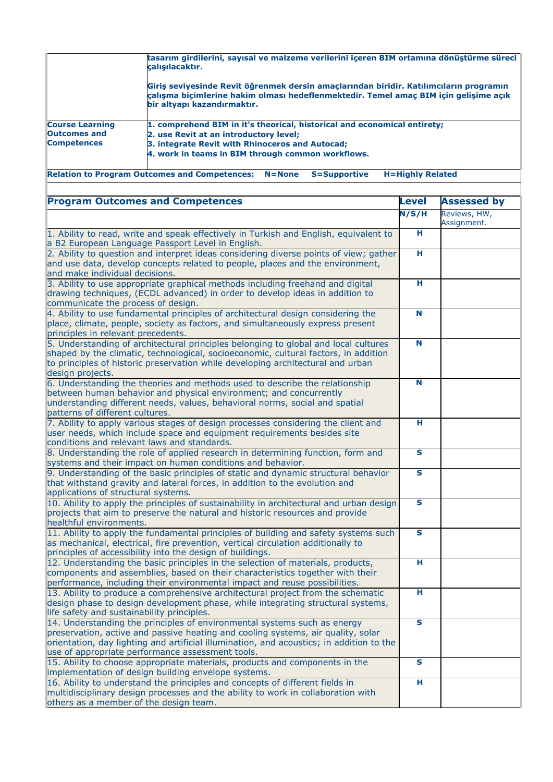|                        | tasarım girdilerini, sayısal ve malzeme verilerini içeren BIM ortamına dönüştürme süreci<br>calışılacaktır.                                                                                                   |
|------------------------|---------------------------------------------------------------------------------------------------------------------------------------------------------------------------------------------------------------|
|                        | Giris seviyesinde Revit öğrenmek dersin amaçlarından biridir. Katılımcıların programın<br>çalışma biçimlerine hakim olması hedeflenmektedir. Temel amaç BIM için gelişime açık<br>bir altyapı kazandırmaktır. |
| <b>Course Learning</b> | 1. comprehend BIM in it's theorical, historical and economical entirety;                                                                                                                                      |
| <b>Outcomes and</b>    | 2. use Revit at an introductory level;                                                                                                                                                                        |
| <b>Competences</b>     | 3. integrate Revit with Rhinoceros and Autocad;                                                                                                                                                               |
|                        | 4. work in teams in BIM through common workflows.                                                                                                                                                             |

**Relation to Program Outcomes and Competences: N=None S=Supportive H=Highly Related**

| <b>Program Outcomes and Competences</b>                                                                                                                                                                                                                                                                      | Level | <b>Assessed by</b>          |
|--------------------------------------------------------------------------------------------------------------------------------------------------------------------------------------------------------------------------------------------------------------------------------------------------------------|-------|-----------------------------|
|                                                                                                                                                                                                                                                                                                              | N/S/H | Reviews, HW,<br>Assignment. |
| 1. Ability to read, write and speak effectively in Turkish and English, equivalent to<br>a B2 European Language Passport Level in English.                                                                                                                                                                   | н     |                             |
| 2. Ability to question and interpret ideas considering diverse points of view; gather<br>and use data, develop concepts related to people, places and the environment,<br>and make individual decisions.                                                                                                     | н     |                             |
| 3. Ability to use appropriate graphical methods including freehand and digital<br>drawing techniques, (ECDL advanced) in order to develop ideas in addition to<br>communicate the process of design.                                                                                                         | н.    |                             |
| 4. Ability to use fundamental principles of architectural design considering the<br>place, climate, people, society as factors, and simultaneously express present<br>principles in relevant precedents.                                                                                                     | N     |                             |
| 5. Understanding of architectural principles belonging to global and local cultures<br>shaped by the climatic, technological, socioeconomic, cultural factors, in addition<br>to principles of historic preservation while developing architectural and urban<br>design projects.                            | N     |                             |
| 6. Understanding the theories and methods used to describe the relationship<br>between human behavior and physical environment; and concurrently<br>understanding different needs, values, behavioral norms, social and spatial<br>patterns of different cultures.                                           | N     |                             |
| 7. Ability to apply various stages of design processes considering the client and<br>user needs, which include space and equipment requirements besides site<br>conditions and relevant laws and standards.                                                                                                  | Η     |                             |
| 8. Understanding the role of applied research in determining function, form and<br>systems and their impact on human conditions and behavior.                                                                                                                                                                | S     |                             |
| 9. Understanding of the basic principles of static and dynamic structural behavior<br>that withstand gravity and lateral forces, in addition to the evolution and<br>applications of structural systems.                                                                                                     | S     |                             |
| 10. Ability to apply the principles of sustainability in architectural and urban design<br>projects that aim to preserve the natural and historic resources and provide<br>healthful environments.                                                                                                           | S     |                             |
| 11. Ability to apply the fundamental principles of building and safety systems such<br>as mechanical, electrical, fire prevention, vertical circulation additionally to<br>principles of accessibility into the design of buildings.                                                                         | S     |                             |
| 12. Understanding the basic principles in the selection of materials, products,<br>components and assemblies, based on their characteristics together with their<br>performance, including their environmental impact and reuse possibilities.                                                               | Η     |                             |
| 13. Ability to produce a comprehensive architectural project from the schematic<br>design phase to design development phase, while integrating structural systems,<br>life safety and sustainability principles.                                                                                             | н     |                             |
| 14. Understanding the principles of environmental systems such as energy<br>preservation, active and passive heating and cooling systems, air quality, solar<br>orientation, day lighting and artificial illumination, and acoustics; in addition to the<br>use of appropriate performance assessment tools. | S     |                             |
| 15. Ability to choose appropriate materials, products and components in the<br>implementation of design building envelope systems.                                                                                                                                                                           | S     |                             |
| 16. Ability to understand the principles and concepts of different fields in<br>multidisciplinary design processes and the ability to work in collaboration with<br>others as a member of the design team.                                                                                                   | н     |                             |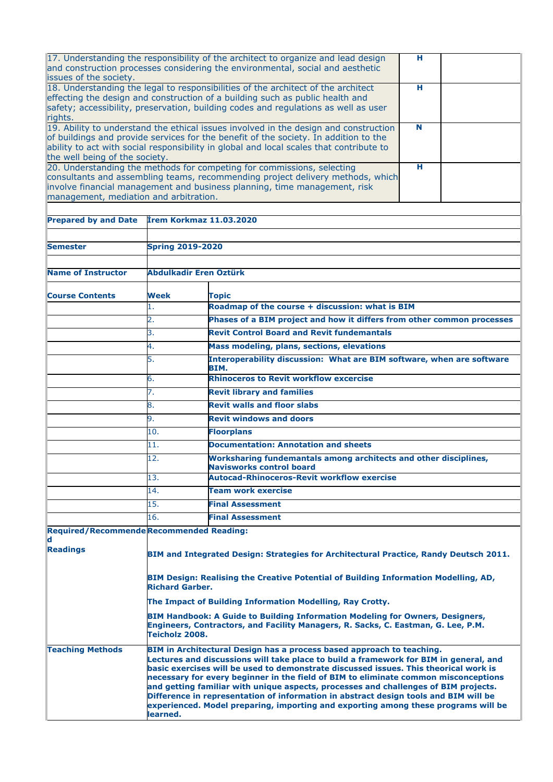| issues of the society.                 |                                                                                                                                                                                                                                                                                                                                                                                                                                                                                                                                                                                                                                | 17. Understanding the responsibility of the architect to organize and lead design<br>and construction processes considering the environmental, social and aesthetic                                                                                                     | н  |  |  |  |  |
|----------------------------------------|--------------------------------------------------------------------------------------------------------------------------------------------------------------------------------------------------------------------------------------------------------------------------------------------------------------------------------------------------------------------------------------------------------------------------------------------------------------------------------------------------------------------------------------------------------------------------------------------------------------------------------|-------------------------------------------------------------------------------------------------------------------------------------------------------------------------------------------------------------------------------------------------------------------------|----|--|--|--|--|
| rights.                                |                                                                                                                                                                                                                                                                                                                                                                                                                                                                                                                                                                                                                                | 18. Understanding the legal to responsibilities of the architect of the architect<br>effecting the design and construction of a building such as public health and<br>safety; accessibility, preservation, building codes and regulations as well as user               | н. |  |  |  |  |
| the well being of the society.         |                                                                                                                                                                                                                                                                                                                                                                                                                                                                                                                                                                                                                                | 19. Ability to understand the ethical issues involved in the design and construction<br>of buildings and provide services for the benefit of the society. In addition to the<br>ability to act with social responsibility in global and local scales that contribute to | N  |  |  |  |  |
| management, mediation and arbitration. |                                                                                                                                                                                                                                                                                                                                                                                                                                                                                                                                                                                                                                | 20. Understanding the methods for competing for commissions, selecting<br>consultants and assembling teams, recommending project delivery methods, which<br>involve financial management and business planning, time management, risk                                   | н. |  |  |  |  |
| <b>Prepared by and Date</b>            | <b>İrem Korkmaz 11.03.2020</b>                                                                                                                                                                                                                                                                                                                                                                                                                                                                                                                                                                                                 |                                                                                                                                                                                                                                                                         |    |  |  |  |  |
|                                        |                                                                                                                                                                                                                                                                                                                                                                                                                                                                                                                                                                                                                                |                                                                                                                                                                                                                                                                         |    |  |  |  |  |
| <b>Semester</b>                        | <b>Spring 2019-2020</b>                                                                                                                                                                                                                                                                                                                                                                                                                                                                                                                                                                                                        |                                                                                                                                                                                                                                                                         |    |  |  |  |  |
|                                        |                                                                                                                                                                                                                                                                                                                                                                                                                                                                                                                                                                                                                                |                                                                                                                                                                                                                                                                         |    |  |  |  |  |
| <b>Name of Instructor</b>              | Abdulkadir Eren Öztürk                                                                                                                                                                                                                                                                                                                                                                                                                                                                                                                                                                                                         |                                                                                                                                                                                                                                                                         |    |  |  |  |  |
| <b>Course Contents</b>                 | Week                                                                                                                                                                                                                                                                                                                                                                                                                                                                                                                                                                                                                           | Topic                                                                                                                                                                                                                                                                   |    |  |  |  |  |
|                                        | 1.                                                                                                                                                                                                                                                                                                                                                                                                                                                                                                                                                                                                                             | Roadmap of the course + discussion: what is BIM                                                                                                                                                                                                                         |    |  |  |  |  |
|                                        | 2.                                                                                                                                                                                                                                                                                                                                                                                                                                                                                                                                                                                                                             | Phases of a BIM project and how it differs from other common processes                                                                                                                                                                                                  |    |  |  |  |  |
|                                        | 3.                                                                                                                                                                                                                                                                                                                                                                                                                                                                                                                                                                                                                             | <b>Revit Control Board and Revit fundemantals</b>                                                                                                                                                                                                                       |    |  |  |  |  |
|                                        | 4.                                                                                                                                                                                                                                                                                                                                                                                                                                                                                                                                                                                                                             | Mass modeling, plans, sections, elevations                                                                                                                                                                                                                              |    |  |  |  |  |
|                                        | 5.                                                                                                                                                                                                                                                                                                                                                                                                                                                                                                                                                                                                                             | Interoperability discussion: What are BIM software, when are software<br>BIM.                                                                                                                                                                                           |    |  |  |  |  |
|                                        | 6.                                                                                                                                                                                                                                                                                                                                                                                                                                                                                                                                                                                                                             | <b>Rhinoceros to Revit workflow excercise</b>                                                                                                                                                                                                                           |    |  |  |  |  |
|                                        | 7.                                                                                                                                                                                                                                                                                                                                                                                                                                                                                                                                                                                                                             | <b>Revit library and families</b>                                                                                                                                                                                                                                       |    |  |  |  |  |
|                                        | 8.                                                                                                                                                                                                                                                                                                                                                                                                                                                                                                                                                                                                                             | <b>Revit walls and floor slabs</b>                                                                                                                                                                                                                                      |    |  |  |  |  |
|                                        | 9.                                                                                                                                                                                                                                                                                                                                                                                                                                                                                                                                                                                                                             | <b>Revit windows and doors</b>                                                                                                                                                                                                                                          |    |  |  |  |  |
|                                        | 10.                                                                                                                                                                                                                                                                                                                                                                                                                                                                                                                                                                                                                            |                                                                                                                                                                                                                                                                         |    |  |  |  |  |
|                                        |                                                                                                                                                                                                                                                                                                                                                                                                                                                                                                                                                                                                                                | <b>Floorplans</b>                                                                                                                                                                                                                                                       |    |  |  |  |  |
|                                        | 11.                                                                                                                                                                                                                                                                                                                                                                                                                                                                                                                                                                                                                            | <b>Documentation: Annotation and sheets</b>                                                                                                                                                                                                                             |    |  |  |  |  |
|                                        | 12.                                                                                                                                                                                                                                                                                                                                                                                                                                                                                                                                                                                                                            | Worksharing fundemantals among architects and other disciplines,<br><b>Navisworks control board</b>                                                                                                                                                                     |    |  |  |  |  |
|                                        | 13.                                                                                                                                                                                                                                                                                                                                                                                                                                                                                                                                                                                                                            | <b>Autocad-Rhinoceros-Revit workflow exercise</b>                                                                                                                                                                                                                       |    |  |  |  |  |
|                                        | 14.                                                                                                                                                                                                                                                                                                                                                                                                                                                                                                                                                                                                                            | Team work exercise                                                                                                                                                                                                                                                      |    |  |  |  |  |
|                                        | 15.                                                                                                                                                                                                                                                                                                                                                                                                                                                                                                                                                                                                                            | <b>Final Assessment</b>                                                                                                                                                                                                                                                 |    |  |  |  |  |
|                                        | 16.                                                                                                                                                                                                                                                                                                                                                                                                                                                                                                                                                                                                                            | <b>Final Assessment</b>                                                                                                                                                                                                                                                 |    |  |  |  |  |
|                                        | <b>Required/Recommende Recommended Reading:</b>                                                                                                                                                                                                                                                                                                                                                                                                                                                                                                                                                                                |                                                                                                                                                                                                                                                                         |    |  |  |  |  |
| d                                      |                                                                                                                                                                                                                                                                                                                                                                                                                                                                                                                                                                                                                                |                                                                                                                                                                                                                                                                         |    |  |  |  |  |
| <b>Readings</b>                        | BIM and Integrated Design: Strategies for Architectural Practice, Randy Deutsch 2011.                                                                                                                                                                                                                                                                                                                                                                                                                                                                                                                                          |                                                                                                                                                                                                                                                                         |    |  |  |  |  |
|                                        | BIM Design: Realising the Creative Potential of Building Information Modelling, AD,<br><b>Richard Garber.</b>                                                                                                                                                                                                                                                                                                                                                                                                                                                                                                                  |                                                                                                                                                                                                                                                                         |    |  |  |  |  |
|                                        | The Impact of Building Information Modelling, Ray Crotty.<br><b>BIM Handbook: A Guide to Building Information Modeling for Owners, Designers,</b><br>Engineers, Contractors, and Facility Managers, R. Sacks, C. Eastman, G. Lee, P.M.<br>Teicholz 2008.                                                                                                                                                                                                                                                                                                                                                                       |                                                                                                                                                                                                                                                                         |    |  |  |  |  |
|                                        |                                                                                                                                                                                                                                                                                                                                                                                                                                                                                                                                                                                                                                |                                                                                                                                                                                                                                                                         |    |  |  |  |  |
| <b>Teaching Methods</b>                | BIM in Architectural Design has a process based approach to teaching.<br>Lectures and discussions will take place to build a framework for BIM in general, and<br>basic exercises will be used to demonstrate discussed issues. This theorical work is<br>necessary for every beginner in the field of BIM to eliminate common misconceptions<br>and getting familiar with unique aspects, processes and challenges of BIM projects.<br>Difference in representation of information in abstract design tools and BIM will be<br>experienced. Model preparing, importing and exporting among these programs will be<br>learned. |                                                                                                                                                                                                                                                                         |    |  |  |  |  |